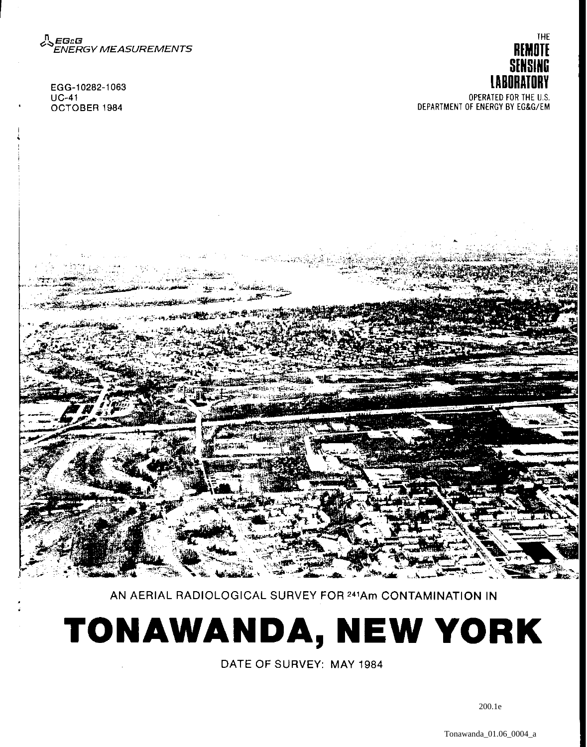

EGG-10282-1063 UC-41 OCTOBER 1984

r





AN AERIAL RADIOLOGICAL SURVEY FOR 241Am CONTAMINATION IN

# **TONAWANDA, NEW YORK**

DATE OF SURVEY: MAY 1984

200.1e

Tonawanda\_01.06\_0004\_a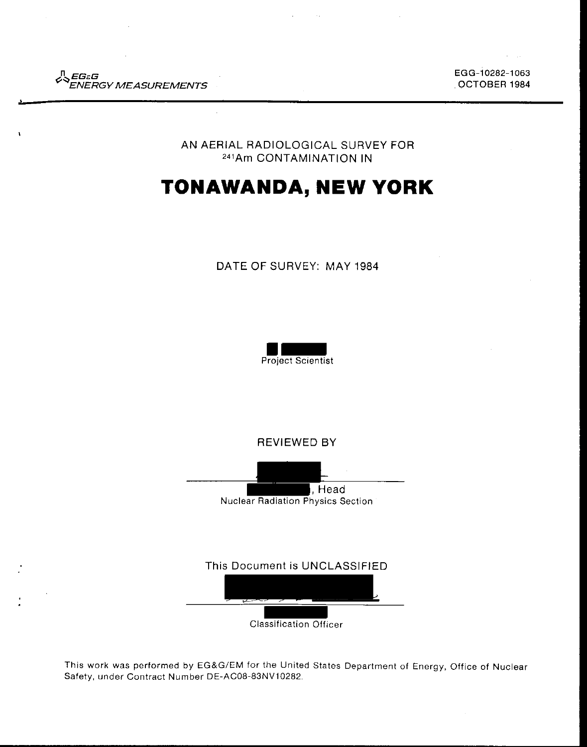

EGG-10282-1063 OCTOBER 1984

AN AERIAL RADIOLOGICAL SURVEY FOR 241Am CONTAMINATION IN

# **TONAWANDA, NEW YORK**

#### DATE OF SURVEY: MAY 1984



REVIEWED BY



This Document is UNCLASSIFIED

Classification Officer

This work was performed by EG&G/EM for the United States Department of Energy, Office of Nuclear Safety, under Contract Number DE-AC08-83NV10282.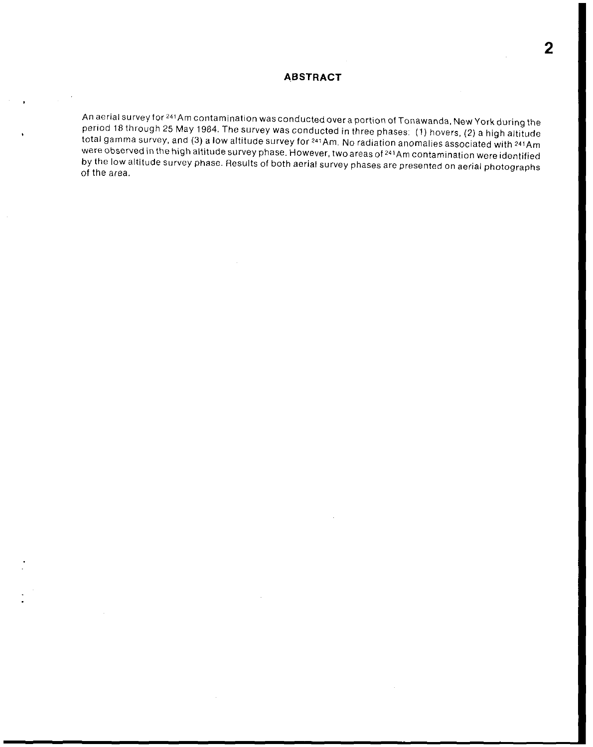#### **ABSTRACT**

An aerial survey for <sup>241</sup> Am contamination was conducted over a portion of Tonawanda, New York during the period 18 through 25 May 1984. The survey was conducted in three phases: (1) hovers, (2) a high altitude total gamma survey, and (3) a low altitude survey for <sup>241</sup>Am. No radiation anomalies associated with <sup>241</sup>Am were observed in the high altitude survey phase. However, two areas of 241 Am contamination were identified by the low altitude survey phase. Results of both aerial survey phases are presented on aerial photographs of the area.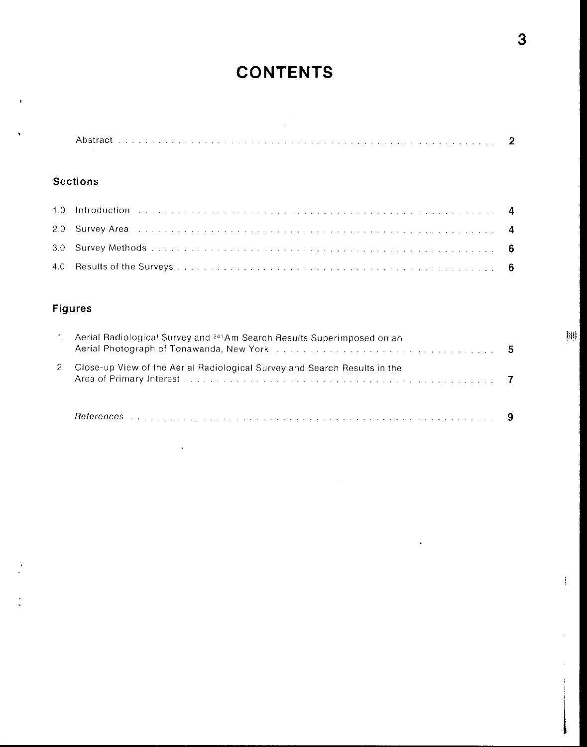## **CONTENTS**

### **Sections**

l.

| 2.0 Survey Area entertainmental contract the contract of the state of the state of the contract of the state of the state of the state of the state of the state of the state of the state of the state of the state of the st |  |
|--------------------------------------------------------------------------------------------------------------------------------------------------------------------------------------------------------------------------------|--|
|                                                                                                                                                                                                                                |  |
|                                                                                                                                                                                                                                |  |

## **Figures**

| Aerial Radiological Survey and <sup>241</sup> Am Search Results Superimposed on an<br>Aerial Photograph of Tonawanda, New York (Alberta, Alberta, Alberta, Alberta, Alberta, Alberta, Alberta, Alber | 5 |
|------------------------------------------------------------------------------------------------------------------------------------------------------------------------------------------------------|---|
| Close-up View of the Aerial Radiological Survey and Search Results in the                                                                                                                            |   |
|                                                                                                                                                                                                      |   |

 $\ddot{\phantom{0}}$ 

ł.

ŧ

禅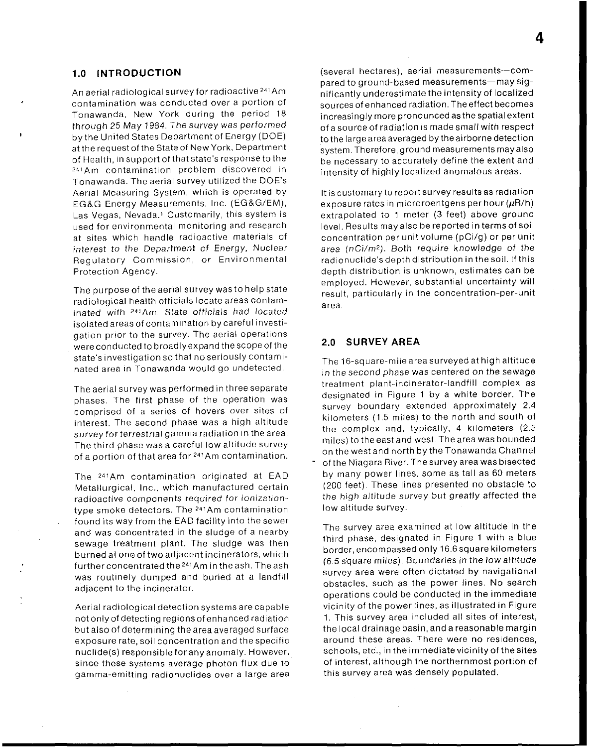#### **1.0 INTRODUCTION**

**An aerial radiological survey for radioactive** 241 **Am contamination was conducted over a portion of**  Tonawanda, New York during the period 18 through 25 May 1984. The survey was performed by the United States Department of Energy (DOE) at the request of the State of New York. Department of Health, in support of that state's response to the **241Am contamination problem discovered in**  Tonawanda. The aerial survey utilized the DOE's Aerial Measuring System, which is operated by EG&G Energy Measurements, Inc. (EG&G/EM), Las Vegas, Nevada.' Customarily, this system is **used for environmental monitoring and research**  at sites which handle radioactive materials of interest to the Department of Energy, Nuclear **Regulatory Commission, or Environmental**  Protection Agency.

The purpose of the aerial survey was to help state radiological health officials locate areas contaminated with <sup>241</sup>Am. State officials had located isolated areas of contamination by careful investigation prior to the survey. The aerial operations were conducted to broadly expand the scope of the state's investigation so that no seriously contaminated area in Tonawanda would go undetected.

The aerial survey was performed in three separate phases. The first phase of the operation was comprised of a series of hovers over sites of interest. The second phase was a high altitude **survey tor terrestrial gamma radiation in the area.**  The third phase was a careful low altitude survey of a portion of that area for <sup>241</sup>Am contamination.

The <sup>241</sup>Am contamination originated at EAD Metallurgical, Inc., which manufactured certain **radioactive components required tor ionizationtype smoke detectors. The 241Am contamination**  found its way from the EAD facility into the sewer and was concentrated in the sludge of a nearby sewage treatment plant. The sludge was then burned at one of two adjacent incinerators, which further concentrated the <sup>241</sup>Am in the ash. The ash was routinely dumped and buried at a landfill adjacent to the incinerator.

Aerial radiological detection systems are capable not only of detecting regions of enhanced radiation but also of determining the area averaged surface exposure rate, soil concentration and the specific nuclide(s) responsible for any anomaly. However, **since these systems average photon flux due to gamma-emitting radionuclides over a large area**  (several hectares), aerial measurements-compared to ground-based measurements-may significantly underestimate the intensity of localized sources of enhanced radiation. The effect becomes increasingly more pronounced as the spatial extent of a source of radiation is made small with respect to the large area averaged by the airborne detection system. Therefore, ground measurements may also be necessary to accurately define the extent and intensity of highly localized anomalous areas.

**It is customary to report survey results as radiation**  exposure rates in microroentgens per hour  $(\mu R/h)$ extrapolated to 1 meter (3 feet) above ground level. Results may also be reported in terms of soil concentration per unit volume (pCi/g) or per unit area ( $nCi/m^2$ ). Both require knowledge of the radionuclide's depth distribution in the soil. If this **depth distribution is unknown, estimates can be**  employed. However, substantial uncertainty will result, particularly in the concentration-per-unit **area.** 

#### **2.0 SURVEY AREA**

The 16-square-mile area surveyed at high altitude in the second phase was centered on the sewage **treatment plant-incinerator-landfill complex as**  designated in Figure 1 by a white border. The survey boundary extended approximately 2.4 kilometers (1.5 miles) to the north and south of the complex and, typically, 4 kilometers (2.5 miles) to the east and west. The area was bounded on the west and north by the Tonawanda Channel of the Niagara River. The survey area was bisected by many power lines, some as tall as 60 meters (200 feet). These lines presented no obstacle to the high altitude survey but greatly affected the low altitude survey.

The survey area examined at low altitude in the third phase, designated in Figure 1 with a blue border, encompassed only 16.6 square kilometers (6.5 square miles). Boundaries in the low altitude survey area were often dictated by navigational obstacles, such as the power lines. No search operations could be conducted in the immediate vicinity of the power lines, as illustrated in Figure 1. This survey area included all sites of interest, the local drainage basin, and a reasonable margin **around these areas. There were no residences,**  schools, etc., in the immediate vicinity of the sites of interest, although the northernmost portion of this survey area was densely populated.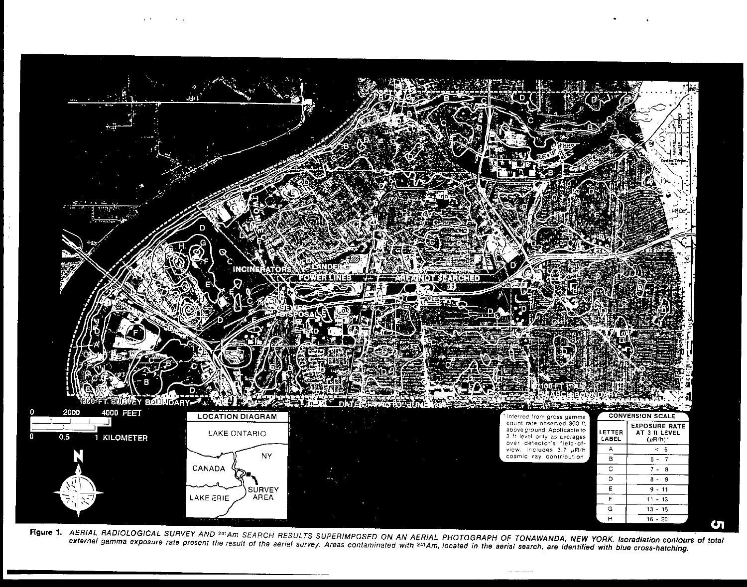

Figure 1. AERIAL RADIOLOGICAL SURVEY AND <sup>241</sup>Am SEARCH RESULTS SUPERIMPOSED ON AN AERIAL PHOTOGRAPH OF TONAWANDA, NEW YORK. Isoradiation contours of total external gamma exposure rate present the result of the aerial survey. Areas contaminated with <sup>241</sup>Am, located in the aerial search, are identified with blue cross-hatching.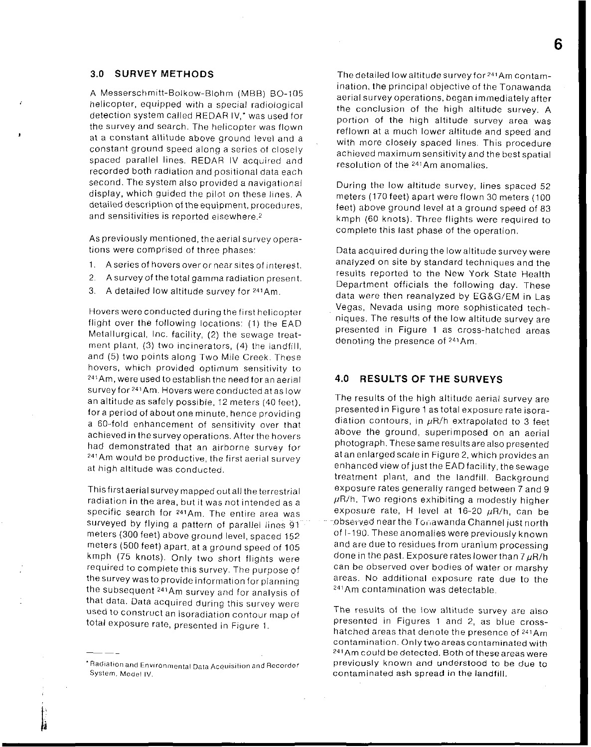#### **3.0 SURVEY METHODS**

A Messerschmitt-Bolkow-Biohm (MBB) B0-105 helicopter, equipped with a special radiological detection system called REDAR IV,' was used for the survey and search. The helicopter was flown at a constant altitude above ground level and a constant ground speed along a series of closely spaced parallel lines. REDAR IV acquired and recorded both radiation and positional data each second. The system also provided a navigational display, which guided the pilot on these lines. A detailed description of the equipment, procedures, **and sensitivities is reported elsewhere. 2** 

As previously mentioned, the aerial survey operations were comprised of three phases:

- **1. A series of hovers over or near sites of interest.**
- 2. A survey of the total gamma radiation present.
- 3. A detailed low altitude survey for <sup>241</sup> Am.

**Hovers were conducted during the first helicopter**  flight over the following locations: (1) the EAD Metallurgical, Inc. facility, (2) the sewage treatment plant, (3) two incinerators, (4) the landfill, and (5) two points along Two Mile Creek. These hovers, which provided optimum sensitivity to 241 Am, were used to establish the need for an aerial **survey for** <sup>241</sup>**Am. Hovers were conducted at as low**  an altitude as safely possible, 12 meters (40 feet), for a period of about one minute, hence providing a 60-fold enhancement of sensitivity over that achieved in the survey operations. After the hovers had demonstrated that an airborne survey for **<sup>241</sup> Am would be productive, the first aerial survey**  at high altitude was conducted.

This first aerial survey mapped out all the terrestrial **radiation in the area, but it was not intended as a specific search for 241Am. The entire area was**  surveyed by flying a pattern of parallel lines 91 meters (300 feet) above ground level, spaced 152 meters (500 feet) apart, at a ground speed of 105 kmph (75 knots). Only two short flights were required to complete this survey. The purpose of **the survey was to provide information for planning**  the subsequent <sup>241</sup> Am survey and for analysis of that data. Data acquired during this survey were **used to construct an isoradiation contour map of total exposure rate, presented in Figure 1.** 

**The detailed low altitude survey for** 241 **Am contam**ination, the principal objective of the Tonawanda aerial survey operations, began immediately after the conclusion of the high altitude survey. A portion of the high altitude survey area was reflown at a much lower altitude and speed and with more closely spaced lines. This procedure achieved maximum sensitivity and the best spatial **resolution of the 241 Am anomalies.** 

During the low altitude survey, lines spaced 52 meters (170 feet) apart were flown 30 meters (100 teet) above ground level at a ground speed of 83 kmph (60 knots). Three flights were required to complete this last phase of the operation.

Data acquired during the low altitude survey were analyzed on site by standard techniques and the results reported to the New York State Health Department officials the following day. These data were then reanalyzed by EG&G/EM in Las Vegas, Nevada using more sophisticated techniques. The results of the low altitude survey are presented in Figure 1 as cross-hatched areas denoting the presence of <sup>241</sup> Am.

#### **4.0 RESULTS OF THE SURVEYS**

The results of the high altitude aerial survey are presented in Figure 1 as total exposure rate isoradiation contours, in  $\mu$ R/h extrapolated to 3 feet above the ground, superimposed on an aerial photograph. These same results are also presented at an enlarged scale in Figure 2, which provides an enhanced view of just the EAD facility, the sewage treatment plant, and the landfill. Background exposure rates generally ranged between 7 and 9  $\mu$ R/h. Two regions exhibiting a modestly higher exposure rate, H level at 16-20  $\mu$ R/h, can be ·· **-.obscYv.ed near the T** o~-,awanda **Channel just north**  of 1-190. These anomalies were previously known and are due to residues from uranium processing done in the past. Exposure rates lower than  $7 \mu R/h$ can be observed over bodies of water or marshy areas. No additional exposure rate due to the <sup>241</sup> Am contamination was detectable.

**The results of the low altitude survey are also presented in Figures 1 and 2, as blue crosshatched areas that denote the presence of 241Am contamination. Only two areas contaminated with 241Am could be detected. Both of these areas were previously known and understood to be due to contaminated ash spread in the landfill.** 

**<sup>·</sup>Radiation and Env1ronrnental Data Acquisition and Recorder System, Model IV.**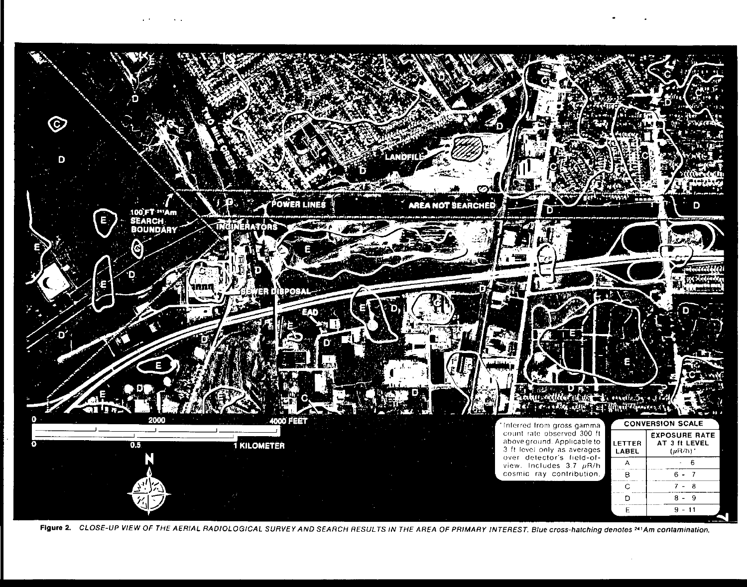

Figure 2. CLOSE-UP VIEW OF THE AERIAL RADIOLOGICAL SURVEY AND SEARCH RESULTS IN THE AREA OF PRIMARY INTEREST. Blue cross-hatching denotes <sup>241</sup>Am contamination.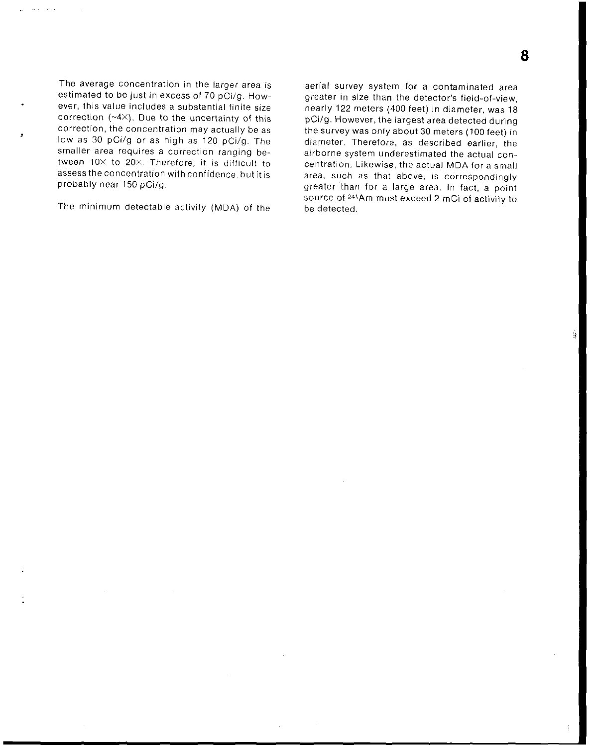The average concentration in the larger area is estimated to be just in excess of 70 pCi/g. How**ever, this value includes a substantial finite size**  correction  $(*4\times)$ . Due to the uncertainty of this **correction, the concentration may actually be** as low as 30 pCi/g or as high as 120 pCi/g. The smaller area requires a correction ranging between  $10 \times$  to 20 $\times$ . Therefore, it is difficult to assess the concentration with confidence, but it is probably near 150 pCi/g.

The minimum detectable activity (MDA) of the

aerial survey system for a contaminated area greater in size than the detector's field-of-view, nearly 122 meters (400 feet) in diameter, was 18 pCi/g. However, the largest area detected during the survey was only about 30 meters (100 feet) in diameter. Therefore, as described earlier, the airborne system underestimated the actual con**centration. Likewise, the actual MDA for a small area, such as that above, is correspondingly**  greater than for a large area. In fact, a point source of 241Am must exceed 2 mCi of activity to be detected.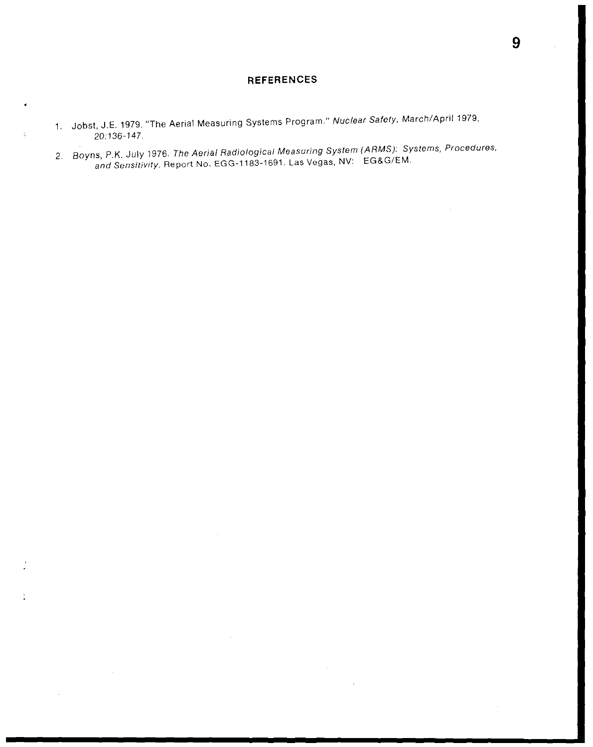#### **REFERENCES**

- 1. Jobst, J.E. 1979. "The Aerial Measuring Systems Program." Nuclear Safety, March/April1979, 20:136-147
- 2. Boyns, P.K. July 1976. The Aerial Radiological Measuring System (ARMS): Systems, Procedures, and Sensitivity. Report No. EGG-1183-1691. Las Vegas, NV: EG&G/EM.